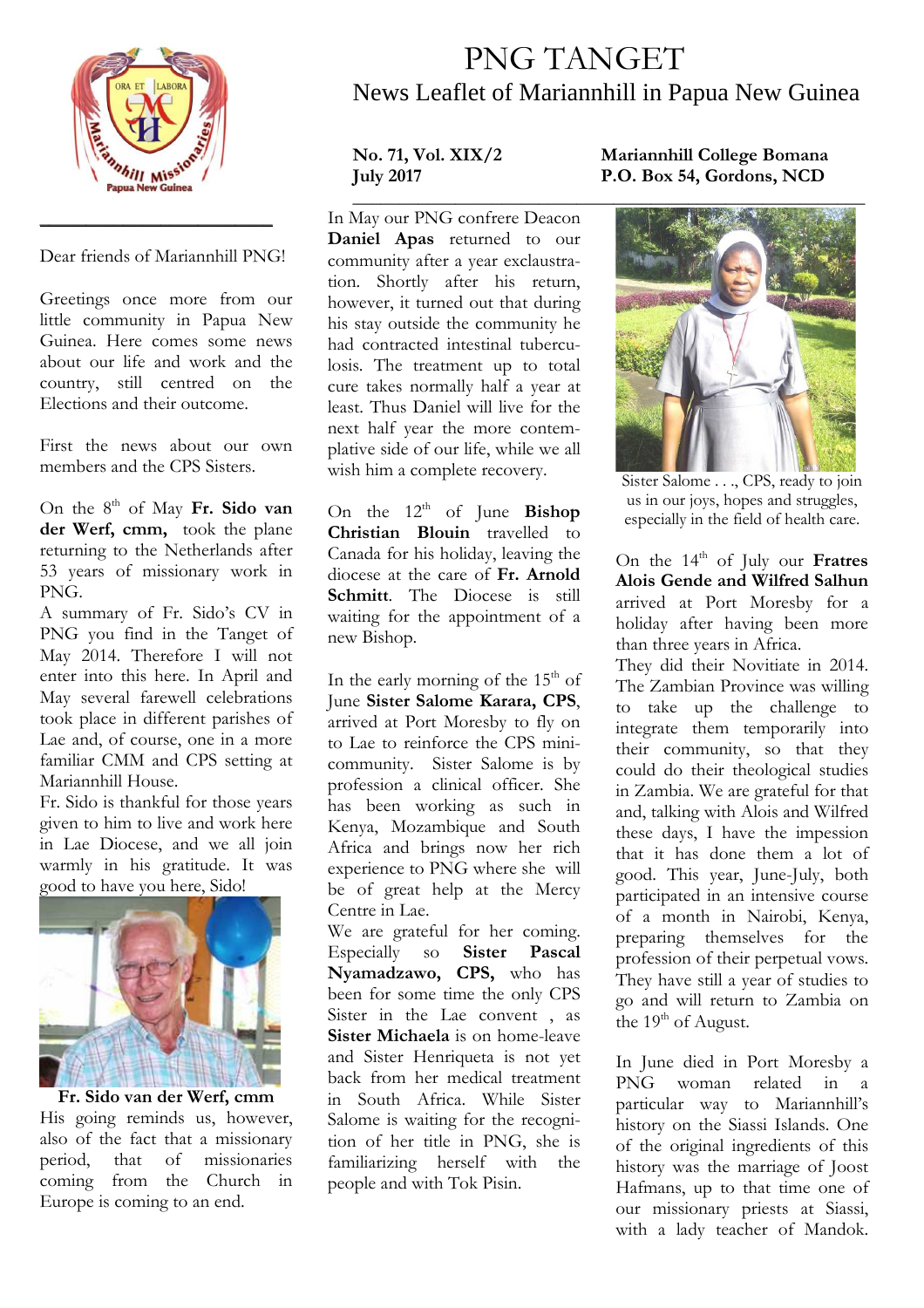

Dear friends of Mariannhill PNG!

\_\_\_\_\_\_\_\_\_\_\_\_\_\_\_\_\_\_\_\_\_\_\_\_\_

Greetings once more from our little community in Papua New Guinea. Here comes some news about our life and work and the country, still centred on the Elections and their outcome.

First the news about our own members and the CPS Sisters.

On the 8<sup>th</sup> of May Fr. Sido van **der Werf, cmm,** took the plane returning to the Netherlands after 53 years of missionary work in PNG.

A summary of Fr. Sido's CV in PNG you find in the Tanget of May 2014. Therefore I will not enter into this here. In April and May several farewell celebrations took place in different parishes of Lae and, of course, one in a more familiar CMM and CPS setting at Mariannhill House.

Fr. Sido is thankful for those years given to him to live and work here in Lae Diocese, and we all join warmly in his gratitude. It was good to have you here, Sido!



**Fr. Sido van der Werf, cmm**  His going reminds us, however, also of the fact that a missionary period, that of missionaries coming from the Church in Europe is coming to an end.

## PNG TANGET News Leaflet of Mariannhill in Papua New Guinea

In May our PNG confrere Deacon **Daniel Apas** returned to our community after a year exclaustration. Shortly after his return, however, it turned out that during his stay outside the community he had contracted intestinal tuberculosis. The treatment up to total cure takes normally half a year at least. Thus Daniel will live for the next half year the more contemplative side of our life, while we all wish him a complete recovery.

On the 12<sup>th</sup> of June **Bishop Christian Blouin** travelled to Canada for his holiday, leaving the diocese at the care of **Fr. Arnold Schmitt**. The Diocese is still waiting for the appointment of a new Bishop.

In the early morning of the 15<sup>th</sup> of June **Sister Salome Karara, CPS**, arrived at Port Moresby to fly on to Lae to reinforce the CPS minicommunity. Sister Salome is by profession a clinical officer. She has been working as such in Kenya, Mozambique and South Africa and brings now her rich experience to PNG where she will be of great help at the Mercy Centre in Lae.

We are grateful for her coming. Especially so **Sister Pascal Nyamadzawo, CPS,** who has been for some time the only CPS Sister in the Lae convent , as **Sister Michaela** is on home-leave and Sister Henriqueta is not yet back from her medical treatment in South Africa. While Sister Salome is waiting for the recognition of her title in PNG, she is familiarizing herself with the people and with Tok Pisin.

## **No. 71, Vol. XIX/2 Mariannhill College Bomana July 2017 P.O. Box 54, Gordons, NCD**



Sister Salome . . ., CPS, ready to join us in our joys, hopes and struggles, especially in the field of health care.

On the 14<sup>th</sup> of July our **Fratres Alois Gende and Wilfred Salhun** arrived at Port Moresby for a holiday after having been more than three years in Africa.

They did their Novitiate in 2014. The Zambian Province was willing to take up the challenge to integrate them temporarily into their community, so that they could do their theological studies in Zambia. We are grateful for that and, talking with Alois and Wilfred these days, I have the impession that it has done them a lot of good. This year, June-July, both participated in an intensive course of a month in Nairobi, Kenya, preparing themselves for the profession of their perpetual vows. They have still a year of studies to go and will return to Zambia on the  $19^{th}$  of August.

In June died in Port Moresby a<br>PNG woman related in a woman related in a particular way to Mariannhill's history on the Siassi Islands. One of the original ingredients of this history was the marriage of Joost Hafmans, up to that time one of our missionary priests at Siassi, with a lady teacher of Mandok.